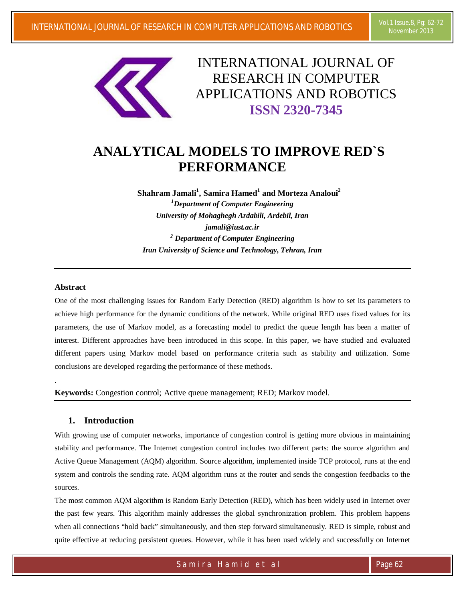

INTERNATIONAL JOURNAL OF RESEARCH IN COMPUTER APPLICATIONS AND ROBOTICS **ISSN 2320-7345**

# **ANALYTICAL MODELS TO IMPROVE RED`S PERFORMANCE**

**Shahram Jamali<sup>1</sup> , Samira Hamed<sup>1</sup> and Morteza Analoui<sup>2</sup>**

*<sup>1</sup>Department of Computer Engineering University of Mohaghegh Ardabili, Ardebil, Iran jamali@iust.ac.ir <sup>2</sup> Department of Computer Engineering Iran University of Science and Technology, Tehran, Iran*

## **Abstract**

.

One of the most challenging issues for Random Early Detection (RED) algorithm is how to set its parameters to achieve high performance for the dynamic conditions of the network. While original RED uses fixed values for its parameters, the use of Markov model, as a forecasting model to predict the queue length has been a matter of interest. Different approaches have been introduced in this scope. In this paper, we have studied and evaluated different papers using Markov model based on performance criteria such as stability and utilization. Some conclusions are developed regarding the performance of these methods.

**Keywords:** Congestion control; Active queue management; RED; Markov model.

# **1. Introduction**

With growing use of computer networks, importance of congestion control is getting more obvious in maintaining stability and performance. The Internet congestion control includes two different parts: the source algorithm and Active Queue Management (AQM) algorithm. Source algorithm, implemented inside TCP protocol, runs at the end system and controls the sending rate. AQM algorithm runs at the router and sends the congestion feedbacks to the sources.

The most common AQM algorithm is Random Early Detection (RED), which has been widely used in Internet over the past few years. This algorithm mainly addresses the global synchronization problem. This problem happens when all connections "hold back" simultaneously, and then step forward simultaneously. RED is simple, robust and quite effective at reducing persistent queues. However, while it has been used widely and successfully on Internet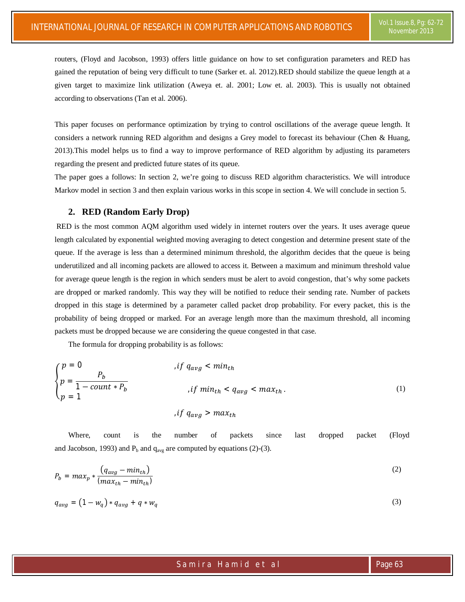routers, (Floyd and Jacobson, 1993) offers little guidance on how to set configuration parameters and RED has gained the reputation of being very difficult to tune (Sarker et. al. 2012).RED should stabilize the queue length at a given target to maximize link utilization (Aweya et. al. 2001; Low et. al. 2003). This is usually not obtained according to observations (Tan et al. 2006).

This paper focuses on performance optimization by trying to control oscillations of the average queue length. It considers a network running RED algorithm and designs a Grey model to forecast its behaviour (Chen & Huang, 2013).This model helps us to find a way to improve performance of RED algorithm by adjusting its parameters regarding the present and predicted future states of its queue.

The paper goes a follows: In section 2, we're going to discuss RED algorithm characteristics. We will introduce Markov model in section 3 and then explain various works in this scope in section 4. We will conclude in section 5.

#### **2. RED (Random Early Drop)**

RED is the most common AQM algorithm used widely in internet routers over the years. It uses average queue length calculated by exponential weighted moving averaging to detect congestion and determine present state of the queue. If the average is less than a determined minimum threshold, the algorithm decides that the queue is being underutilized and all incoming packets are allowed to access it. Between a maximum and minimum threshold value for average queue length is the region in which senders must be alert to avoid congestion, that's why some packets are dropped or marked randomly. This way they will be notified to reduce their sending rate. Number of packets dropped in this stage is determined by a parameter called packet drop probability. For every packet, this is the probability of being dropped or marked. For an average length more than the maximum threshold, all incoming packets must be dropped because we are considering the queue congested in that case.

The formula for dropping probability is as follows:

$$
\begin{cases}\np = 0 & \text{if } q_{avg} < min_{th} \\
p = \frac{P_b}{1 - count * P_b} & \text{if } min_{th} < q_{avg} < max_{th} \\
p = 1 & \text{if } q_{avg} > max_{th}\n\end{cases}
$$
\n(1)

Where, count is the number of packets since last dropped packet (Floyd and Jacobson, 1993) and  $P_b$  and  $q_{avg}$  are computed by equations (2)-(3).

$$
P_b = max_p * \frac{(q_{avg} - min_{th})}{(max_{th} - min_{th})}
$$
 (2)

$$
q_{avg} = (1 - w_q) * q_{avg} + q * w_q \tag{3}
$$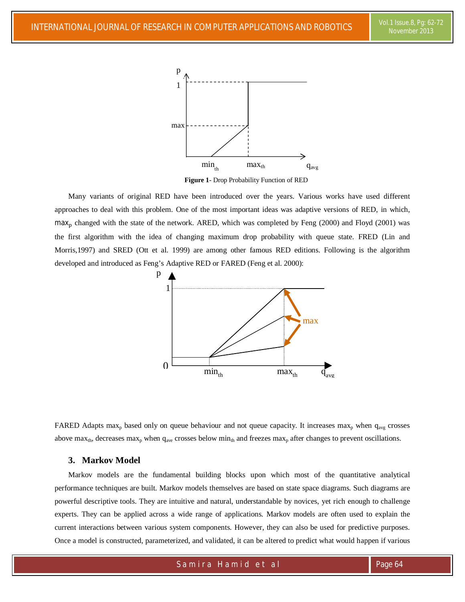

**Figure 1**- Drop Probability Function of RED

Many variants of original RED have been introduced over the years. Various works have used different approaches to deal with this problem. One of the most important ideas was adaptive versions of RED, in which,  $max<sub>p</sub>$  changed with the state of the network. ARED, which was completed by Feng (2000) and Floyd (2001) was the first algorithm with the idea of changing maximum drop probability with queue state. FRED (Lin and Morris,1997) and SRED (Ott et al. 1999) are among other famous RED editions. Following is the algorithm developed and introduced as Feng's Adaptive RED or FARED (Feng et al. 2000):



FARED Adapts max<sub>p</sub> based only on queue behaviour and not queue capacity. It increases max<sub>p</sub> when  $q_{avg}$  crosses above max<sub>th</sub>, decreases max<sub>p</sub> when  $q_{ave}$  crosses below min<sub>th</sub> and freezes max<sub>p</sub> after changes to prevent oscillations.

#### **3. Markov Model**

Markov models are the fundamental building blocks upon which most of the quantitative analytical performance techniques are built. Markov models themselves are based on state space diagrams. Such diagrams are powerful descriptive tools. They are intuitive and natural, understandable by novices, yet rich enough to challenge experts. They can be applied across a wide range of applications. Markov models are often used to explain the current interactions between various system components. However, they can also be used for predictive purposes. Once a model is constructed, parameterized, and validated, it can be altered to predict what would happen if various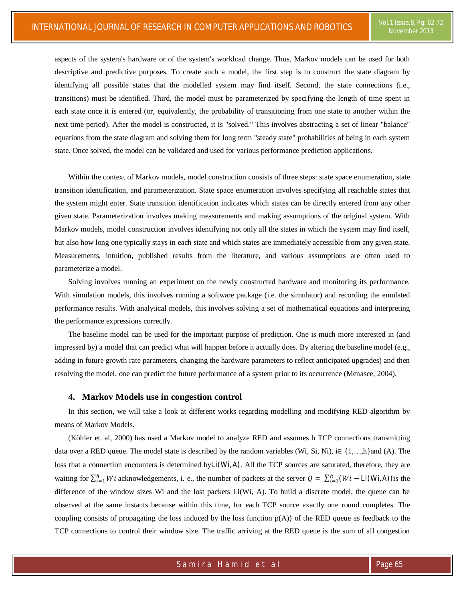aspects of the system's hardware or of the system's workload change. Thus, Markov models can be used for both descriptive and predictive purposes. To create such a model, the first step is to construct the state diagram by identifying all possible states that the modelled system may find itself. Second, the state connections (i.e., transitions) must be identified. Third, the model must be parameterized by specifying the length of time spent in each state once it is entered (or, equivalently, the probability of transitioning from one state to another within the next time period). After the model is constructed, it is "solved." This involves abstracting a set of linear "balance" equations from the state diagram and solving them for long term "steady state" probabilities of being in each system state. Once solved, the model can be validated and used for various performance prediction applications.

Within the context of Markov models, model construction consists of three steps: state space enumeration, state transition identification, and parameterization. State space enumeration involves specifying all reachable states that the system might enter. State transition identification indicates which states can be directly entered from any other given state. Parameterization involves making measurements and making assumptions of the original system. With Markov models, model construction involves identifying not only all the states in which the system may find itself, but also how long one typically stays in each state and which states are immediately accessible from any given state. Measurements, intuition, published results from the literature, and various assumptions are often used to parameterize a model.

Solving involves running an experiment on the newly constructed hardware and monitoring its performance. With simulation models, this involves running a software package (i.e. the simulator) and recording the emulated performance results. With analytical models, this involves solving a set of mathematical equations and interpreting the performance expressions correctly.

The baseline model can be used for the important purpose of prediction. One is much more interested in (and impressed by) a model that can predict what will happen before it actually does. By altering the baseline model (e.g., adding in future growth rate parameters, changing the hardware parameters to reflect anticipated upgrades) and then resolving the model, one can predict the future performance of a system prior to its occurrence (Menasce, 2004).

#### **4. Markov Models use in congestion control**

In this section, we will take a look at different works regarding modelling and modifying RED algorithm by means of Markov Models.

(Köhler et. al, 2000) has used a Markov model to analyze RED and assumes h TCP connections transmitting data over a RED queue. The model state is described by the random variables (Wi, Si, Ni), i $\in \{1,...,h\}$ and (A). The loss that a connection encounters is determined by Li(Wi, A). All the TCP sources are saturated, therefore, they are waiting for  $\sum_{i=1}^{h} Wi$  acknowledgements, i. e., the number of packets at the server  $Q = \sum_{i=1}^{h} (Wi - Li(Wi, A))$  is the difference of the window sizes Wi and the lost packets Li(Wi, A). To build a discrete model, the queue can be observed at the same instants because within this time, for each TCP source exactly one round completes. The coupling consists of propagating the loss induced by the loss function  $p(A)$ ) of the RED queue as feedback to the TCP connections to control their window size. The traffic arriving at the RED queue is the sum of all congestion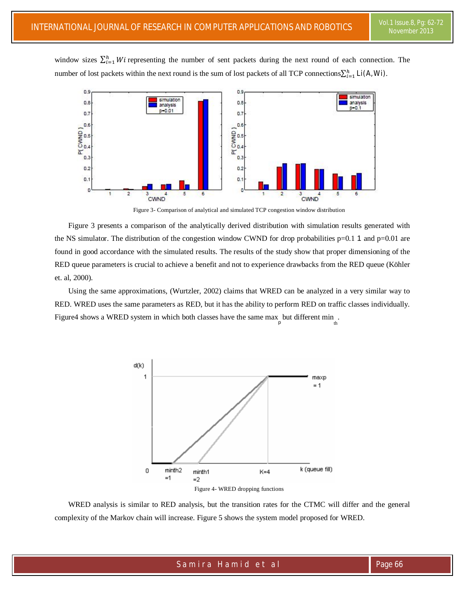window sizes  $\sum_{i=1}^{h} Wi$  representing the number of sent packets during the next round of each connection. The number of lost packets within the next round is the sum of lost packets of all TCP connections $\sum_{i=1}^{h} L(A, W_i)$ .



Figure 3- Comparison of analytical and simulated TCP congestion window distribution

Figure 3 presents a comparison of the analytically derived distribution with simulation results generated with the NS simulator. The distribution of the congestion window CWND for drop probabilities  $p=0.1$  1 and  $p=0.01$  are found in good accordance with the simulated results. The results of the study show that proper dimensioning of the RED queue parameters is crucial to achieve a benefit and not to experience drawbacks from the RED queue (Köhler et. al, 2000).

Using the same approximations, (Wurtzler, 2002) claims that WRED can be analyzed in a very similar way to RED. WRED uses the same parameters as RED, but it has the ability to perform RED on traffic classes individually. Figure4 shows a WRED system in which both classes have the same max but different min.



Figure 4- WRED dropping functions

WRED analysis is similar to RED analysis, but the transition rates for the CTMC will differ and the general complexity of the Markov chain will increase. Figure 5 shows the system model proposed for WRED.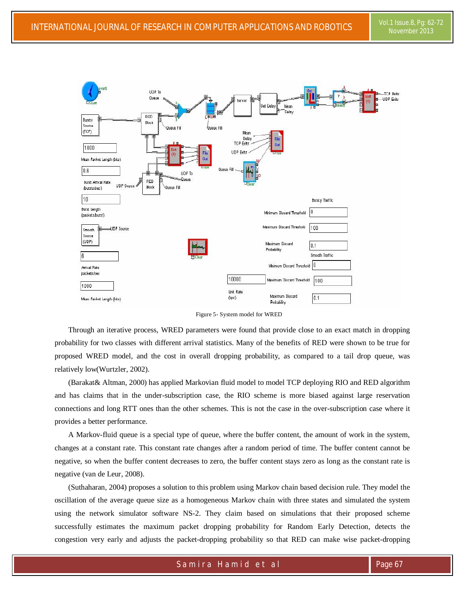

Figure 5- System model for WRED

Through an iterative process, WRED parameters were found that provide close to an exact match in dropping probability for two classes with different arrival statistics. Many of the benefits of RED were shown to be true for proposed WRED model, and the cost in overall dropping probability, as compared to a tail drop queue, was relatively low(Wurtzler, 2002).

(Barakat& Altman, 2000) has applied Markovian fluid model to model TCP deploying RIO and RED algorithm and has claims that in the under-subscription case, the RIO scheme is more biased against large reservation connections and long RTT ones than the other schemes. This is not the case in the over-subscription case where it provides a better performance.

A Markov-fluid queue is a special type of queue, where the buffer content, the amount of work in the system, changes at a constant rate. This constant rate changes after a random period of time. The buffer content cannot be negative, so when the buffer content decreases to zero, the buffer content stays zero as long as the constant rate is negative (van de Leur, 2008).

(Suthaharan, 2004) proposes a solution to this problem using Markov chain based decision rule. They model the oscillation of the average queue size as a homogeneous Markov chain with three states and simulated the system using the network simulator software NS-2. They claim based on simulations that their proposed scheme successfully estimates the maximum packet dropping probability for Random Early Detection, detects the congestion very early and adjusts the packet-dropping probability so that RED can make wise packet-dropping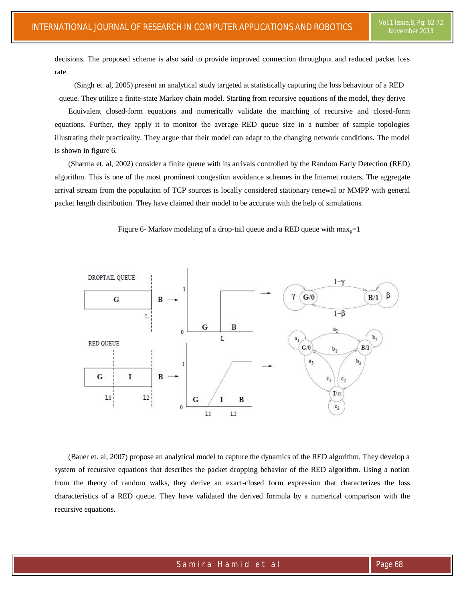decisions. The proposed scheme is also said to provide improved connection throughput and reduced packet loss rate.

(Singh et. al, 2005) present an analytical study targeted at statistically capturing the loss behaviour of a RED queue. They utilize a finite-state Markov chain model. Starting from recursive equations of the model, they derive

Equivalent closed-form equations and numerically validate the matching of recursive and closed-form equations. Further, they apply it to monitor the average RED queue size in a number of sample topologies illustrating their practicality. They argue that their model can adapt to the changing network conditions. The model is shown in figure 6.

(Sharma et. al, 2002) consider a finite queue with its arrivals controlled by the Random Early Detection (RED) algorithm. This is one of the most prominent congestion avoidance schemes in the Internet routers. The aggregate arrival stream from the population of TCP sources is locally considered stationary renewal or MMPP with general packet length distribution. They have claimed their model to be accurate with the help of simulations.



Figure 6- Markov modeling of a drop-tail queue and a RED queue with  $max_p=1$ 

(Bauer et. al, 2007) propose an analytical model to capture the dynamics of the RED algorithm. They develop a system of recursive equations that describes the packet dropping behavior of the RED algorithm. Using a notion from the theory of random walks, they derive an exact-closed form expression that characterizes the loss characteristics of a RED queue. They have validated the derived formula by a numerical comparison with the recursive equations.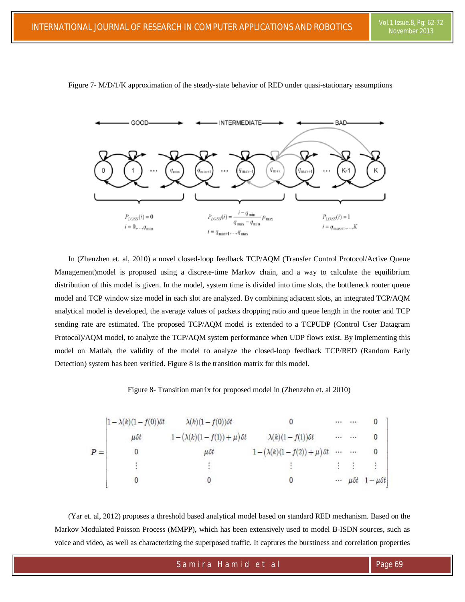

Figure 7- M/D/1/K approximation of the steady-state behavior of RED under quasi-stationary assumptions

In (Zhenzhen et. al, 2010) a novel closed-loop feedback TCP/AQM (Transfer Control Protocol/Active Queue Management)model is proposed using a discrete-time Markov chain, and a way to calculate the equilibrium distribution of this model is given. In the model, system time is divided into time slots, the bottleneck router queue model and TCP window size model in each slot are analyzed. By combining adjacent slots, an integrated TCP/AQM analytical model is developed, the average values of packets dropping ratio and queue length in the router and TCP sending rate are estimated. The proposed TCP/AQM model is extended to a TCPUDP (Control User Datagram Protocol)/AQM model, to analyze the TCP/AQM system performance when UDP flows exist. By implementing this model on Matlab, the validity of the model to analyze the closed-loop feedback TCP/RED (Random Early Detection) system has been verified. Figure 8 is the transition matrix for this model.

Figure 8- Transition matrix for proposed model in (Zhenzehn et. al 2010)

| $P =$ | $\left[1-\lambda(k)(1-f(0))\delta t\right]$ | $\lambda(k)(1-f(0))$ ot              |                                      | $\cdots$ | $\mathcal{C}(\mathcal{X})$ |                                       |
|-------|---------------------------------------------|--------------------------------------|--------------------------------------|----------|----------------------------|---------------------------------------|
|       | $\mu$ St                                    | $1-(\lambda(k)(1-f(1))+\mu)\delta t$ | $\lambda(k)(1-f(1))$ ot              |          | $\cdots$ $\cdots$          | $\boldsymbol{0}$                      |
|       |                                             | $\mu$ St                             | $1-(\lambda(k)(1-f(2))+\mu)\delta t$ |          |                            | 0                                     |
|       |                                             |                                      |                                      |          |                            |                                       |
|       |                                             |                                      | U                                    | $\cdots$ |                            | $\mu \delta t \quad 1 - \mu \delta t$ |

(Yar et. al, 2012) proposes a threshold based analytical model based on standard RED mechanism. Based on the Markov Modulated Poisson Process (MMPP), which has been extensively used to model B-ISDN sources, such as voice and video, as well as characterizing the superposed traffic. It captures the burstiness and correlation properties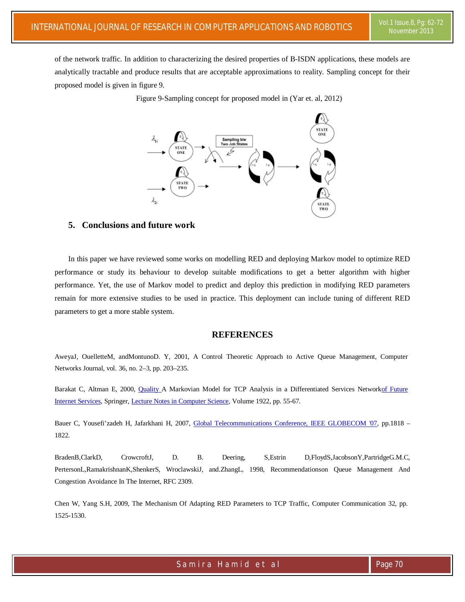of the network traffic. In addition to characterizing the desired properties of B-ISDN applications, these models are analytically tractable and produce results that are acceptable approximations to reality. Sampling concept for their proposed model is given in figure 9.

Figure 9-Sampling concept for proposed model in (Yar et. al, 2012)



# **5. Conclusions and future work**

In this paper we have reviewed some works on modelling RED and deploying Markov model to optimize RED performance or study its behaviour to develop suitable modifications to get a better algorithm with higher performance. Yet, the use of Markov model to predict and deploy this prediction in modifying RED parameters remain for more extensive studies to be used in practice. This deployment can include tuning of different RED parameters to get a more stable system.

## **REFERENCES**

AweyaJ, OuelletteM, andMontunoD. Y, 2001, A Control Theoretic Approach to Active Queue Management, Computer Networks Journal, vol. 36, no. 2–3, pp. 203–235.

Barakat C, Altman E, 2000, Quality A Markovian Model for TCP Analysis in a Differentiated Services Networkof Future Internet Services, Springer, Lecture Notes in Computer Science, Volume 1922, pp. 55-67.

Bauer C, Yousefi'zadeh H, Jafarkhani H, 2007, Global Telecommunications Conference, IEEE GLOBECOM '07, pp.1818 – 1822.

BradenB,ClarkD, CrowcroftJ, D. B. Deering, S,Estrin D,FloydS,JacobsonY,PartridgeG.M.C, PertersonL,RamakrishnanK,ShenkerS, WroclawskiJ, and.ZhangL, 1998, Recommendationson Queue Management And Congestion Avoidance In The Internet, RFC 2309.

Chen W, Yang S.H, 2009, The Mechanism Of Adapting RED Parameters to TCP Traffic, Computer Communication 32, pp. 1525-1530.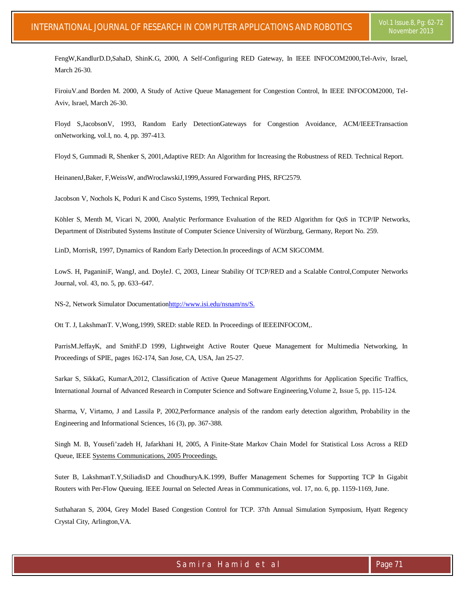FengW,KandlurD.D,SahaD, ShinK.G, 2000, A Self-Configuring RED Gateway, In IEEE INFOCOM2000,Tel-Aviv, Israel, March 26-30.

FiroiuV.and Borden M. 2000, A Study of Active Queue Management for Congestion Control, In IEEE INFOCOM2000, Tel-Aviv, Israel, March 26-30.

Floyd S,JacobsonV, 1993, Random Early DetectionGateways for Congestion Avoidance, ACM/IEEETransaction onNetworking, vol.I, no. 4, pp. 397-413.

Floyd S, Gummadi R, Shenker S, 2001,Adaptive RED: An Algorithm for Increasing the Robustness of RED. Technical Report.

HeinanenJ,Baker, F,WeissW, andWroclawskiJ,1999,Assured Forwarding PHS, RFC2579.

Jacobson V, Nochols K, Poduri K and Cisco Systems, 1999, Technical Report.

Köhler S, Menth M, Vicari N, 2000, Analytic Performance Evaluation of the RED Algorithm for QoS in TCP/IP Networks, Department of Distributed Systems Institute of Computer Science University of Würzburg, Germany, Report No. 259.

LinD, MorrisR, 1997, Dynamics of Random Early Detection.In proceedings of ACM SIGCOMM.

LowS. H, PaganiniF, WangJ, and. DoyleJ. C, 2003, Linear Stability Of TCP/RED and a Scalable Control,Computer Networks Journal, vol. 43, no. 5, pp. 633–647.

NS-2, Network Simulator Documentationhttp://www.isi.edu/nsnam/ns/S.

Ott T. J, LakshmanT. V,Wong,1999, SRED: stable RED. In Proceedings of IEEEINFOCOM,.

ParrisM.JeffayK, and SmithF.D 1999, Lightweight Active Router Queue Management for Multimedia Networking, In Proceedings of SPIE, pages 162-174, San Jose, CA, USA, Jan 25-27.

Sarkar S, SikkaG, KumarA,2012, Classification of Active Queue Management Algorithms for Application Specific Traffics, International Journal of Advanced Research in Computer Science and Software Engineering,Volume 2, Issue 5, pp. 115-124.

Sharma, V, Virtamo, J and Lassila P, 2002,Performance analysis of the random early detection algorithm, Probability in the Engineering and Informational Sciences, 16 (3), pp. 367-388.

Singh M. B, Yousefi'zadeh H, Jafarkhani H, 2005, A Finite-State Markov Chain Model for Statistical Loss Across a RED Queue, IEEE Systems Communications, 2005 Proceedings.

Suter B, LakshmanT.Y,StiliadisD and ChoudhuryA.K.1999, Buffer Management Schemes for Supporting TCP In Gigabit Routers with Per-Flow Queuing. IEEE Journal on Selected Areas in Communications, vol. 17, no. 6, pp. 1159-1169, June.

Suthaharan S, 2004, Grey Model Based Congestion Control for TCP. 37th Annual Simulation Symposium, Hyatt Regency Crystal City, Arlington,VA.